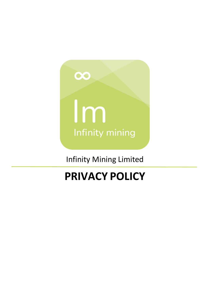

Infinity Mining Limited

# **PRIVACY POLICY**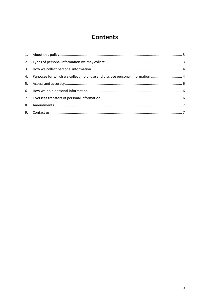## **Contents**

| 4. Purposes for which we collect, hold, use and disclose personal information  4 |  |
|----------------------------------------------------------------------------------|--|
|                                                                                  |  |
|                                                                                  |  |
|                                                                                  |  |
|                                                                                  |  |
|                                                                                  |  |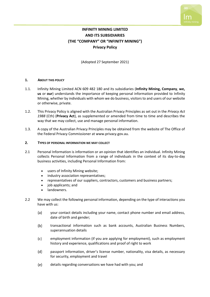

### **INFINITY MINING LIMITED AND ITS SUBSIDIARIES (THE "COMPANY" OR "INFINITY MINING") Privacy Policy**

(Adopted 27 September 2021)

#### <span id="page-2-0"></span>**1. ABOUT THIS POLICY**

- 1.1. Infinity Mining Limited ACN 609 482 180 and its subsidiaries (**Infinity Mining, Company**, **we, us** or **our**) understands the importance of keeping personal information provided to Infinity Mining, whether by individuals with whom we do business, visitors to and users of our website or otherwise, private.
- 1.2. This Privacy Policy is aligned with the Australian Privacy Principles as set out in the *Privacy Act 1988* (Cth) (**Privacy Act**), as supplemented or amended from time to time and describes the way that we may collect, use and manage personal information.
- 1.3. A copy of the Australian Privacy Principles may be obtained from the website of The Office of the Federal Privacy Commissioner at [www.privacy.gov.au.](http://www.privacy.gov.au/)

#### <span id="page-2-1"></span>**2. TYPES OF PERSONAL INFORMATION WE MAY COLLECT**

- 2.1 Personal Information is information or an opinion that identifies an individual. Infinity Mining collects Personal Information from a range of individuals in the context of its day-to-day business activities, including Personal Information from:
	- users of Infinity Mining website;
	- industry association representatives;
	- representatives of our suppliers, contractors, customers and business partners;
	- job applicants; and
	- landowners.
- 2.2 We may collect the following personal information, depending on the type of interactions you have with us:
	- $(a)$ your contact details including your name, contact phone number and email address, date of birth and gender;
	- $(b)$ transactional information such as bank accounts, Australian Business Numbers, superannuation details
	- $(c)$ employment information (if you are applying for employment), such as employment history and experience, qualifications and proof of right to work
	- $(d)$ passport information, driver's license number, nationality, visa details, as necessary for security, employment and travel
	- $(e)$ details regarding conversations we have had with you; and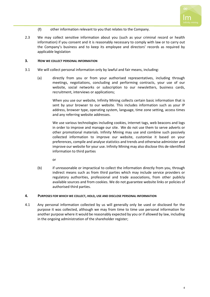

- $(f)$ other information relevant to you that relates to the Company.
- 2.3 We may collect sensitive information about you (such as your criminal record or health information) if you consent and it is reasonably necessary to comply with law or to carry out the Company's business and to keep its employee and directors' records as required by applicable legislation

#### <span id="page-3-0"></span>**3. HOW WE COLLECT PERSONAL INFORMATION**

- 3.1 We will collect personal information only by lawful and fair means, including:
	- (a) directly from you or from your authorised representatives, including through meetings, negotiations, concluding and performing contracts, your use of our website, social networks or subscription to our newsletters, business cards, recruitment, interviews or applications;

When you use our website, Infinity Mining collects certain basic information that is sent by your browser to our website. This includes information such as your IP address, browser type, operating system, language, time zone setting, access times and any referring website addresses.

We use various technologies including cookies, internet tags, web beacons and logs in order to improve and manage our site. We do not use them to serve adverts or other promotional materials. Infinity Mining may use and combine such passively collected information to improve our website, customise it based on your preferences, compile and analyse statistics and trends and otherwise administer and improve our website for your use. Infinity Mining may also disclose this de-identified information to third parties

or

(b) if unreasonable or impractical to collect the information directly from you, through indirect means such as from third parties which may include service providers or regulatory authorities, professional and trade associations, from other publicly available sources and from cookies. We do not guarantee website links or policies of authorised third parties.

#### <span id="page-3-1"></span>**4. PURPOSES FOR WHICH WE COLLECT, HOLD, USE AND DISCLOSE PERSONAL INFORMATION**

4.1 Any personal information collected by us will generally only be used or disclosed for the purpose it was collected, although we may from time to time use personal information for another purpose where it would be reasonably expected by you or if allowed by law, including in the ongoing administration of the shareholder register;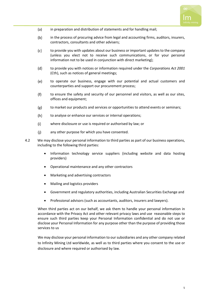

- $(a)$ in preparation and distribution of statements and for handling mail;
- $(b)$ in the process of procuring advice from legal and accounting firms, auditors, insurers, contractors, consultants and other advisers;
- $(c)$ to provide you with updates about our business or important updates to the company (unless you elect not to receive such communications, or for your personal information not to be used in conjunction with direct marketing);
- $(d)$ to provide you with notices or information required under the *Corporations Act 2001*  (Cth), such as notices of general meetings;
- $(e)$ to operate our business, engage with our potential and actual customers and counterparties and support our procurement process;
- $(f)$ to ensure the safety and security of our personnel and visitors, as well as our sites, offices and equipment;
- $(g)$ to market our products and services or opportunities to attend events or seminars;
- $(h)$ to analyse or enhance our services or internal operations;
- $(i)$ where disclosure or use is required or authorised by law; or
- any other purpose for which you have consented.  $(i)$
- 4.2 We may disclose your personal information to third parties as part of our business operations, including to the following third parties:
	- Information technology service suppliers (including website and data hosting providers)
	- Operational maintenance and any other contractors
	- Marketing and advertising contractors
	- Mailing and logistics providers
	- Government and regulatory authorities, including Australian Securities Exchange and
	- Professional advisors (such as accountants, auditors, insurers and lawyers).

When third parties act on our behalf, we ask them to handle your personal information in accordance with the Privacy Act and other relevant privacy laws and use reasonable steps to ensure such third parties keep your Personal Information confidential and do not use or disclose your Personal Information for any purpose other than the purpose of providing those services to us

We may disclose your personal information to our subsidiaries and any other company related to Infinity Mining Ltd worldwide, as well as to third parties where you consent to the use or disclosure and where required or authorised by law.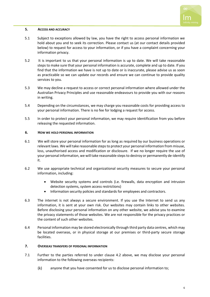

#### <span id="page-5-0"></span>**5. ACCESS AND ACCURACY**

- 5.1 Subject to exceptions allowed by law, you have the right to access personal information we hold about you and to seek its correction. Please contact us (at our contact details provided below) to request for access to your information, or if you have a complaint concerning your information privacy.
- 5.2 It is important to us that your personal information is up to date. We will take reasonable steps to make sure that your personal information is accurate, complete and up to date. If you find that the information we have is not up to date or is inaccurate, please advise us as soon as practicable so we can update our records and ensure we can continue to provide quality services to you.
- 5.3 We may decline a request to access or correct personal information where allowed under the Australian Privacy Principles and use reasonable endeavours to provide you with our reasons in writing.
- 5.4 Depending on the circumstances, we may charge you reasonable costs for providing access to your personal information. There is no fee for lodging a request for access.
- 5.5 In order to protect your personal information, we may require identification from you before releasing the requested information.

#### <span id="page-5-1"></span>**6. HOW WE HOLD PERSONAL INFORMATION**

- 6.1 We will store your personal information for as long as required by our business operations or relevant laws. We will take reasonable steps to protect your personal information from misuse, loss, unauthorised access and modification or disclosure. If we no longer require the use of your personal information, we will take reasonable steps to destroy or permanently de-identify it.
- 6.2 We use appropriate technical and organizational security measures to secure your personal information, including:
	- Website security systems and controls (i.e. firewalls, data encryption and intrusion detection systems, system access restrictions)
	- Information security policies and standards for employees and contractors.
- 6.3 The internet is not always a secure environment. If you use the Internet to send us any information, it is sent at your own risk. Our websites may contain links to other websites. Before disclosing your personal information on any other website, we advise you to examine the privacy statements of those websites. We are not responsible for the privacy practices or the content of such other websites.
- 6.4 Personal information may be stored electronically through third party data centres, which may be located overseas, or in physical storage at our premises or third-party secure storage facilities.

#### <span id="page-5-2"></span>**7. OVERSEAS TRANSFERS OF PERSONAL INFORMATION**

- 7.1 Further to the parties referred to under clause 4.2 above, we may disclose your personal information to the following overseas recipients:
	- $(k)$ anyone that you have consented for us to disclose personal information to;